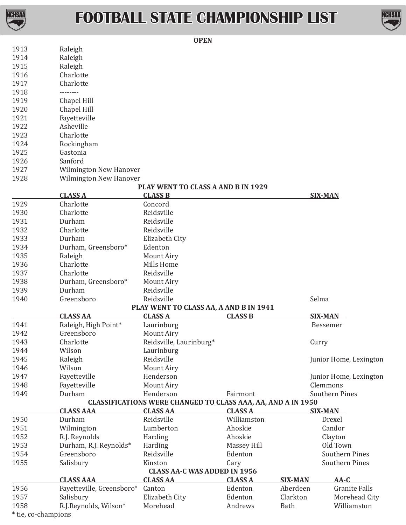

## **FOOTBALL STATE CHAMPIONSHIP LIST**



|                                                                                                                          |                                    |                           | <b>OPEN</b>                                                         |                    |          |                        |  |  |  |
|--------------------------------------------------------------------------------------------------------------------------|------------------------------------|---------------------------|---------------------------------------------------------------------|--------------------|----------|------------------------|--|--|--|
|                                                                                                                          | 1913                               | Raleigh                   |                                                                     |                    |          |                        |  |  |  |
|                                                                                                                          | 1914                               | Raleigh                   |                                                                     |                    |          |                        |  |  |  |
|                                                                                                                          | 1915                               | Raleigh                   |                                                                     |                    |          |                        |  |  |  |
|                                                                                                                          | 1916                               | Charlotte                 |                                                                     |                    |          |                        |  |  |  |
|                                                                                                                          | 1917                               | Charlotte                 |                                                                     |                    |          |                        |  |  |  |
|                                                                                                                          | 1918                               | --------                  |                                                                     |                    |          |                        |  |  |  |
|                                                                                                                          | 1919                               | Chapel Hill               |                                                                     |                    |          |                        |  |  |  |
|                                                                                                                          | 1920                               | Chapel Hill               |                                                                     |                    |          |                        |  |  |  |
|                                                                                                                          | 1921                               | Fayetteville              |                                                                     |                    |          |                        |  |  |  |
|                                                                                                                          | 1922                               | Asheville                 |                                                                     |                    |          |                        |  |  |  |
|                                                                                                                          | 1923                               | Charlotte                 |                                                                     |                    |          |                        |  |  |  |
|                                                                                                                          | 1924<br>1925                       | Rockingham<br>Gastonia    |                                                                     |                    |          |                        |  |  |  |
|                                                                                                                          | 1926                               | Sanford                   |                                                                     |                    |          |                        |  |  |  |
|                                                                                                                          | 1927                               | Wilmington New Hanover    |                                                                     |                    |          |                        |  |  |  |
|                                                                                                                          | 1928                               | Wilmington New Hanover    |                                                                     |                    |          |                        |  |  |  |
|                                                                                                                          | PLAY WENT TO CLASS A AND B IN 1929 |                           |                                                                     |                    |          |                        |  |  |  |
|                                                                                                                          |                                    | <b>CLASS A</b>            | <b>CLASS B</b>                                                      |                    |          | <b>SIX-MAN</b>         |  |  |  |
|                                                                                                                          | 1929                               | Charlotte                 | Concord                                                             |                    |          |                        |  |  |  |
|                                                                                                                          | 1930                               | Charlotte                 | Reidsville                                                          |                    |          |                        |  |  |  |
|                                                                                                                          | 1931                               | Durham                    | Reidsville                                                          |                    |          |                        |  |  |  |
|                                                                                                                          | 1932                               | Charlotte                 | Reidsville                                                          |                    |          |                        |  |  |  |
|                                                                                                                          | 1933                               | Durham                    | Elizabeth City                                                      |                    |          |                        |  |  |  |
|                                                                                                                          | 1934                               | Durham, Greensboro*       | Edenton                                                             |                    |          |                        |  |  |  |
|                                                                                                                          | 1935                               | Raleigh                   | Mount Airy                                                          |                    |          |                        |  |  |  |
|                                                                                                                          | 1936                               | Charlotte                 | Mills Home                                                          |                    |          |                        |  |  |  |
|                                                                                                                          | 1937                               | Charlotte                 | Reidsville                                                          |                    |          |                        |  |  |  |
|                                                                                                                          | 1938                               | Durham, Greensboro*       | Mount Airy                                                          |                    |          |                        |  |  |  |
|                                                                                                                          | 1939                               | Durham                    | Reidsville                                                          |                    |          |                        |  |  |  |
|                                                                                                                          | 1940                               | Greensboro                | Reidsville                                                          |                    |          | Selma                  |  |  |  |
|                                                                                                                          |                                    | <b>CLASS AA</b>           | PLAY WENT TO CLASS AA, A AND B IN 1941<br><b>CLASS A</b>            | <b>CLASS B</b>     |          | <b>SIX-MAN</b>         |  |  |  |
|                                                                                                                          | 1941                               | Raleigh, High Point*      | Laurinburg                                                          |                    |          | Bessemer               |  |  |  |
|                                                                                                                          | 1942                               | Greensboro                | Mount Airy                                                          |                    |          |                        |  |  |  |
|                                                                                                                          | 1943                               | Charlotte                 | Reidsville, Laurinburg*                                             |                    |          | Curry                  |  |  |  |
|                                                                                                                          | 1944                               | Wilson                    | Laurinburg                                                          |                    |          |                        |  |  |  |
|                                                                                                                          | 1945                               | Raleigh                   | Reidsville                                                          |                    |          | Junior Home, Lexington |  |  |  |
|                                                                                                                          | 1946                               | Wilson                    | Mount Airy                                                          |                    |          |                        |  |  |  |
|                                                                                                                          | 1947                               | Fayetteville              | Henderson                                                           |                    |          | Junior Home, Lexington |  |  |  |
|                                                                                                                          | 1948                               | Fayetteville              | Mount Airy                                                          |                    |          | Clemmons               |  |  |  |
|                                                                                                                          | 1949                               | Durham                    | Henderson                                                           | Fairmont           |          | <b>Southern Pines</b>  |  |  |  |
|                                                                                                                          |                                    |                           | <b>CLASSIFICATIONS WERE CHANGED TO CLASS AAA, AA, AND A IN 1950</b> |                    |          |                        |  |  |  |
|                                                                                                                          |                                    | <b>CLASS AAA</b>          | <b>CLASS AA</b>                                                     | <b>CLASS A</b>     |          | <b>SIX-MAN</b>         |  |  |  |
|                                                                                                                          | 1950                               | Durham                    | Reidsville                                                          | Williamston        |          | Drexel                 |  |  |  |
|                                                                                                                          | 1951                               | Wilmington                | Lumberton                                                           | Ahoskie            |          | Candor                 |  |  |  |
|                                                                                                                          | 1952                               | R.J. Reynolds             | Harding                                                             | Ahoskie            |          | Clayton                |  |  |  |
|                                                                                                                          | 1953                               | Durham, R.J. Reynolds*    | Harding                                                             | <b>Massey Hill</b> |          | Old Town               |  |  |  |
|                                                                                                                          | 1954                               | Greensboro                | Reidsville                                                          | Edenton            |          | <b>Southern Pines</b>  |  |  |  |
|                                                                                                                          | 1955                               | Salisbury                 | Kinston                                                             | Cary               |          | <b>Southern Pines</b>  |  |  |  |
| <b>CLASS AA-C WAS ADDED IN 1956</b><br><b>CLASS AAA</b><br><b>CLASS AA</b><br><b>CLASS A</b><br>$AA-C$<br><b>SIX-MAN</b> |                                    |                           |                                                                     |                    |          |                        |  |  |  |
|                                                                                                                          | 1956                               | Fayetteville, Greensboro* | Canton                                                              | Edenton            | Aberdeen | <b>Granite Falls</b>   |  |  |  |
|                                                                                                                          | 1957                               | Salisbury                 | Elizabeth City                                                      | Edenton            | Clarkton | Morehead City          |  |  |  |
|                                                                                                                          | 1958                               | R.J.Reynolds, Wilson*     | Morehead                                                            | Andrews            | Bath     | Williamston            |  |  |  |
|                                                                                                                          |                                    |                           |                                                                     |                    |          |                        |  |  |  |

\* tie, co-champions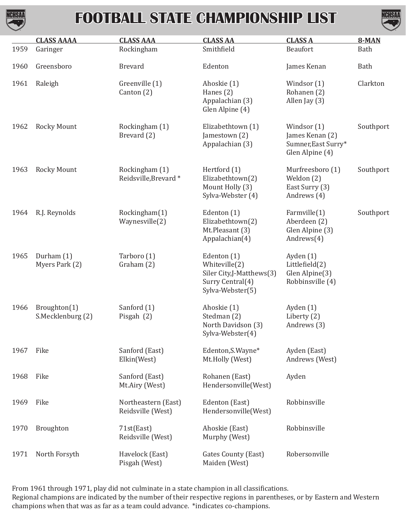

## **FOOTBALL STATE CHAMPIONSHIP LIST**



|      | <b>CLASS AAAA</b>                 | <b>CLASS AAA</b>                         | <b>CLASS AA</b>                                                                                  | <b>CLASS A</b>                                                           | 8-MAN       |
|------|-----------------------------------|------------------------------------------|--------------------------------------------------------------------------------------------------|--------------------------------------------------------------------------|-------------|
| 1959 | Garinger                          | Rockingham                               | Smithfield                                                                                       | Beaufort                                                                 | <b>Bath</b> |
| 1960 | Greensboro                        | <b>Brevard</b>                           | Edenton                                                                                          | James Kenan                                                              | <b>Bath</b> |
| 1961 | Raleigh                           | Greenville (1)<br>Canton (2)             | Ahoskie (1)<br>Hanes (2)<br>Appalachian (3)<br>Glen Alpine (4)                                   | Windsor $(1)$<br>Rohanen (2)<br>Allen Jay (3)                            | Clarkton    |
| 1962 | <b>Rocky Mount</b>                | Rockingham (1)<br>Brevard (2)            | Elizabethtown (1)<br>Jamestown (2)<br>Appalachian (3)                                            | Windsor (1)<br>James Kenan (2)<br>Sumner, East Surry*<br>Glen Alpine (4) | Southport   |
| 1963 | <b>Rocky Mount</b>                | Rockingham (1)<br>Reidsville, Brevard*   | Hertford (1)<br>Elizabethtown(2)<br>Mount Holly (3)<br>Sylva-Webster (4)                         | Murfreesboro (1)<br>Weldon (2)<br>East Surry (3)<br>Andrews (4)          | Southport   |
| 1964 | R.J. Reynolds                     | Rockingham(1)<br>Waynesville(2)          | Edenton (1)<br>Elizabethtown(2)<br>Mt.Pleasant (3)<br>Appalachian(4)                             | Farmville $(1)$<br>Aberdeen (2)<br>Glen Alpine (3)<br>Andrews $(4)$      | Southport   |
| 1965 | Durham (1)<br>Myers Park (2)      | Tarboro (1)<br>Graham (2)                | Edenton (1)<br>Whiteville(2)<br>Siler City,J-Matthews(3)<br>Surry Central(4)<br>Sylva-Webster(5) | Ayden (1)<br>Littlefield(2)<br>Glen Alpine(3)<br>Robbinsville (4)        |             |
| 1966 | Broughton(1)<br>S.Mecklenburg (2) | Sanford (1)<br>Pisgah (2)                | Ahoskie (1)<br>Stedman (2)<br>North Davidson (3)<br>Sylva-Webster(4)                             | Ayden (1)<br>Liberty (2)<br>Andrews (3)                                  |             |
| 1967 | Fike                              | Sanford (East)<br>Elkin(West)            | Edenton, S. Wayne*<br>Mt.Holly (West)                                                            | Ayden (East)<br>Andrews (West)                                           |             |
| 1968 | Fike                              | Sanford (East)<br>Mt.Airy (West)         | Rohanen (East)<br>Hendersonville(West)                                                           | Ayden                                                                    |             |
| 1969 | Fike                              | Northeastern (East)<br>Reidsville (West) | Edenton (East)<br>Hendersonville(West)                                                           | Robbinsville                                                             |             |
| 1970 | Broughton                         | 71st(East)<br>Reidsville (West)          | Ahoskie (East)<br>Murphy (West)                                                                  | Robbinsville                                                             |             |
| 1971 | North Forsyth                     | Havelock (East)<br>Pisgah (West)         | Gates County (East)<br>Maiden (West)                                                             | Robersonville                                                            |             |

From 1961 through 1971, play did not culminate in a state champion in all classifications.

Regional champions are indicated by the number of their respective regions in parentheses, or by Eastern and Western champions when that was as far as a team could advance. \*indicates co-champions.